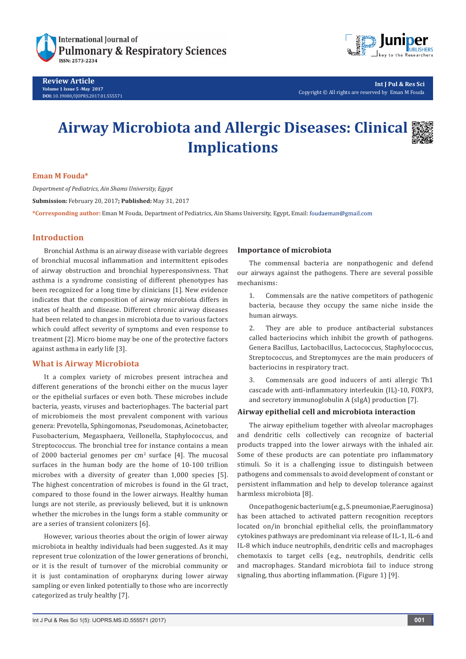

**Review Article Volume 1 Issue 5 -May 2017 DOI:** [10.19080/IJOPRS.2017.01.555571](http://dx.doi.org/10.19080/IJOPRS.2017.01.555571
)



**Int J Pul & Res Sci** Copyright © All rights are reserved by Eman M Fouda

# **Airway Microbiota and Allergic Diseases: Clinical Implications**



# **Eman M Fouda\***

*Department of Pediatrics, Ain Shams University, Egypt* **Submission:** February 20, 2017**; Published:** May 31, 2017 **\*Corresponding author:** Eman M Fouda, Department of Pediatrics, Ain Shams University, Egypt, Email:

# **Introduction**

Bronchial Asthma is an airway disease with variable degrees of bronchial mucosal inflammation and intermittent episodes of airway obstruction and bronchial hyperesponsivness. That asthma is a syndrome consisting of different phenotypes has been recognized for a long time by clinicians [1]. New evidence indicates that the composition of airway microbiota differs in states of health and disease. Different chronic airway diseases had been related to changes in microbiota due to various factors which could affect severity of symptoms and even response to treatment [2]. Micro biome may be one of the protective factors against asthma in early life [3].

# **What is Airway Microbiota**

It a complex variety of microbes present intrachea and different generations of the bronchi either on the mucus layer or the epithelial surfaces or even both. These microbes include bacteria, yeasts, viruses and bacteriophages. The bacterial part of microbiomeis the most prevalent component with various genera: Prevotella, Sphingomonas, Pseudomonas, Acinetobacter, Fusobacterium, Megasphaera, Veillonella, Staphylococcus, and Streptococcus. The bronchial tree for instance contains a mean of 2000 bacterial genomes per  $\text{cm}^2$  surface [4]. The mucosal surfaces in the human body are the home of 10-100 trillion microbes with a diversity of greater than 1,000 species [5]. The highest concentration of microbes is found in the GI tract, compared to those found in the lower airways. Healthy human lungs are not sterile, as previously believed, but it is unknown whether the microbes in the lungs form a stable community or are a series of transient colonizers [6].

However, various theories about the origin of lower airway microbiota in healthy individuals had been suggested. As it may represent true colonization of the lower generations of bronchi, or it is the result of turnover of the microbial community or it is just contamination of oropharynx during lower airway sampling or even linked potentially to those who are incorrectly categorized as truly healthy [7].

# **Importance of microbiota**

The commensal bacteria are nonpathogenic and defend our airways against the pathogens. There are several possible mechanisms:

1. Commensals are the native competitors of pathogenic bacteria, because they occupy the same niche inside the human airways.

2. They are able to produce antibacterial substances called bacteriocins which inhibit the growth of pathogens. Genera Bacillus, Lactobacillus, Lactococcus, Staphylococcus, Streptococcus, and Streptomyces are the main producers of bacteriocins in respiratory tract.

3. Commensals are good inducers of anti allergic Th1 cascade with anti-inflammatory interleukin (IL)-10, FOXP3, and secretory immunoglobulin A (sIgA) production [7].

# **Airway epithelial cell and microbiota interaction**

The airway epithelium together with alveolar macrophages and dendritic cells collectively can recognize of bacterial products trapped into the lower airways with the inhaled air. Some of these products are can potentiate pro inflammatory stimuli. So it is a challenging issue to distinguish between pathogens and commensals to avoid development of constant or persistent inflammation and help to develop tolerance against harmless microbiota [8].

Once pathogenic bacterium (e.g., S. pneumoniae, P.aeruginosa) has been attached to activated pattern recognition receptors located on/in bronchial epithelial cells, the proinflammatory cytokines pathways are predominant via release of IL-1, IL-6 and IL-8 which induce neutrophils, dendritic cells and macrophages chemotaxis to target cells (e.g., neutrophils, dendritic cells and macrophages. Standard microbiota fail to induce strong signaling, thus aborting inflammation. (Figure 1) [9].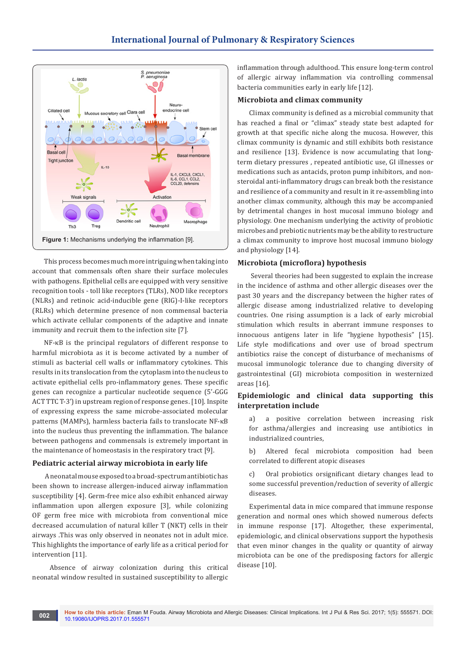

This process becomes much more intriguing when taking into account that commensals often share their surface molecules with pathogens. Epithelial cells are equipped with very sensitive recognition tools - toll like receptors (TLRs), NOD like receptors (NLRs) and retinoic acid-inducible gene (RIG)-I-like receptors (RLRs) which determine presence of non commensal bacteria which activate cellular components of the adaptive and innate immunity and recruit them to the infection site [7].

NF-κB is the principal regulators of different response to harmful microbiota as it is become activated by a number of stimuli as bacterial cell walls or inflammatory cytokines. This results in its translocation from the cytoplasm into the nucleus to activate epithelial cells pro-inflammatory genes. These specific genes can recognize a particular nucleotide sequence (5'-GGG ACT TTC T-3') in upstream region of response genes. [10]. Inspite of expressing express the same microbe-associated molecular patterns (MAMPs), harmless bacteria fails to translocate NF-κB into the nucleus thus preventing the inflammation. The balance between pathogens and commensals is extremely important in the maintenance of homeostasis in the respiratory tract [9].

# **Pediatric acterial airway microbiota in early life**

 A neonatal mouse exposed to a broad-spectrum antibiotic has been shown to increase allergen-induced airway inflammation susceptibility [4]. Germ-free mice also exhibit enhanced airway inflammation upon allergen exposure [3], while colonizing OF germ free mice with microbiota from conventional mice decreased accumulation of natural killer T (NKT) cells in their airways .This was only observed in neonates not in adult mice. This highlights the importance of early life as a critical period for intervention [11].

 Absence of airway colonization during this critical neonatal window resulted in sustained susceptibility to allergic inflammation through adulthood. This ensure long-term control of allergic airway inflammation via controlling commensal bacteria communities early in early life [12].

# **Microbiota and climax community**

Climax community is defined as a microbial community that has reached a final or "climax" steady state best adapted for growth at that specific niche along the mucosa. However, this climax community is dynamic and still exhibits both resistance and resilience [13]. Evidence is now accumulating that longterm dietary pressures , repeated antibiotic use, GI illnesses or medications such as antacids, proton pump inhibitors, and nonsteroidal anti-inflammatory drugs can break both the resistance and resilience of a community and result in it re-assembling into another climax community, although this may be accompanied by detrimental changes in host mucosal immuno biology and physiology. One mechanism underlying the activity of probiotic microbes and prebiotic nutrients may be the ability to restructure a climax community to improve host mucosal immuno biology and physiology [14].

# **Microbiota (microflora) hypothesis**

 Several theories had been suggested to explain the increase in the incidence of asthma and other allergic diseases over the past 30 years and the discrepancy between the higher rates of allergic disease among industrialized relative to developing countries. One rising assumption is a lack of early microbial stimulation which results in aberrant immune responses to innocuous antigens later in life "hygiene hypothesis" [15]. Life style modifications and over use of broad spectrum antibiotics raise the concept of disturbance of mechanisms of mucosal immunologic tolerance due to changing diversity of gastrointestinal (GI) microbiota composition in westernized areas [16].

# **Epidemiologic and clinical data supporting this interpretation include**

a) a positive correlation between increasing risk for asthma/allergies and increasing use antibiotics in industrialized countries,

b) Altered fecal microbiota composition had been correlated to different atopic diseases

c) Oral probiotics orsignificant dietary changes lead to some successful prevention/reduction of severity of allergic diseases.

Experimental data in mice compared that immune response generation and normal ones which showed numerous defects in immune response [17]. Altogether, these experimental, epidemiologic, and clinical observations support the hypothesis that even minor changes in the quality or quantity of airway microbiota can be one of the predisposing factors for allergic disease [10].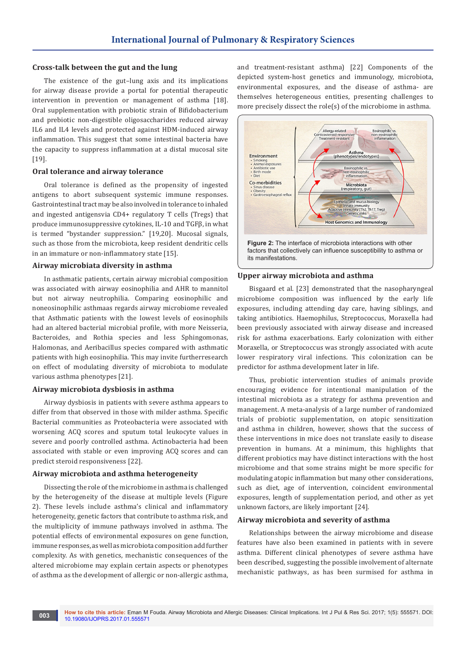## **Cross-talk between the gut and the lung**

The existence of the gut–lung axis and its implications for airway disease provide a portal for potential therapeutic intervention in prevention or management of asthma [18]. Oral supplementation with probiotic strain of Bifidobacterium and prebiotic non-digestible oligosaccharides reduced airway IL6 and IL4 levels and protected against HDM-induced airway inflammation. This suggest that some intestinal bacteria have the capacity to suppress inflammation at a distal mucosal site [19].

#### **Oral tolerance and airway tolerance**

Oral tolerance is defined as the propensity of ingested antigens to abort subsequent systemic immune responses. Gastrointestinal tract may be also involved in tolerance to inhaled and ingested antigensvia CD4+ regulatory T cells (Tregs) that produce immunosuppressive cytokines, IL-10 and TGFβ, in what is termed "bystander suppression." [19,20]. Mucosal signals, such as those from the microbiota, keep resident dendritic cells in an immature or non-inflammatory state [15].

#### **Airway microbiata diversity in asthma**

In asthmatic patients, certain airway microbial composition was associated with airway eosinophilia and AHR to mannitol but not airway neutrophilia. Comparing eosinophilic and noneosinophilic asthmaas regards airway microbiome revealed that Asthmatic patients with the lowest levels of eosinophils had an altered bacterial microbial profile, with more Neisseria, Bacteroides, and Rothia species and less Sphingomonas, Halomonas, and Aeribacillus species compared with asthmatic patients with high eosinophilia. This may invite furtherresearch on effect of modulating diversity of microbiota to modulate various asthma phenotypes [21].

# **Airway microbiota dysbiosis in asthma**

Airway dysbiosis in patients with severe asthma appears to differ from that observed in those with milder asthma. Specific Bacterial communities as Proteobacteria were associated with worsening ACQ scores and sputum total leukocyte values in severe and poorly controlled asthma. Actinobacteria had been associated with stable or even improving ACQ scores and can predict steroid responsiveness [22].

#### **Airway microbiota and asthma heterogeneity**

Dissecting the role of the microbiome in asthma is challenged by the heterogeneity of the disease at multiple levels (Figure 2). These levels include asthma's clinical and inflammatory heterogeneity, genetic factors that contribute to asthma risk, and the multiplicity of immune pathways involved in asthma. The potential effects of environmental exposures on gene function, immune responses, as well as microbiota composition add further complexity. As with genetics, mechanistic consequences of the altered microbiome may explain certain aspects or phenotypes of asthma as the development of allergic or non-allergic asthma,

and treatment-resistant asthma) [22] Components of the depicted system-host genetics and immunology, microbiota, environmental exposures, and the disease of asthma- are themselves heterogeneous entities, presenting challenges to more precisely dissect the role(s) of the microbiome in asthma.



#### **Upper airway microbiota and asthma**

Bisgaard et al. [23] demonstrated that the nasopharyngeal microbiome composition was influenced by the early life exposures, including attending day care, having siblings, and taking antibiotics. Haemophilus, Streptococcus, Moraxella had been previously associated with airway disease and increased risk for asthma exacerbations. Early colonization with either Moraxella, or Streptococcus was strongly associated with acute lower respiratory viral infections. This colonization can be predictor for asthma development later in life.

Thus, probiotic intervention studies of animals provide encouraging evidence for intentional manipulation of the intestinal microbiota as a strategy for asthma prevention and management. A meta-analysis of a large number of randomized trials of probiotic supplementation, on atopic sensitization and asthma in children, however, shows that the success of these interventions in mice does not translate easily to disease prevention in humans. At a minimum, this highlights that different probiotics may have distinct interactions with the host microbiome and that some strains might be more specific for modulating atopic inflammation but many other considerations, such as diet, age of intervention, coincident environmental exposures, length of supplementation period, and other as yet unknown factors, are likely important [24].

# **Airway microbiota and severity of asthma**

Relationships between the airway microbiome and disease features have also been examined in patients with in severe asthma. Different clinical phenotypes of severe asthma have been described, suggesting the possible involvement of alternate mechanistic pathways, as has been surmised for asthma in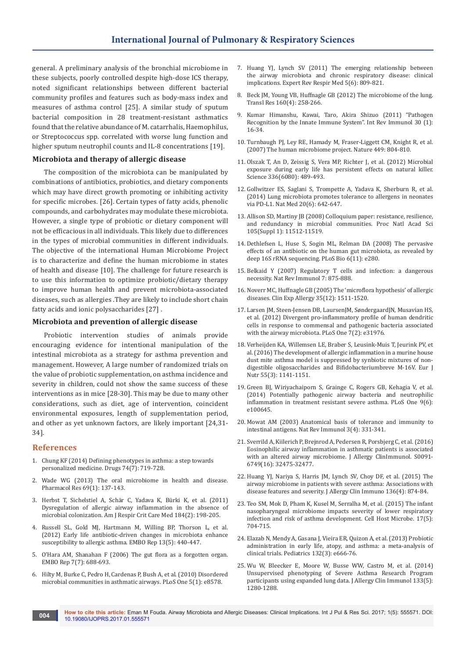general. A preliminary analysis of the bronchial microbiome in these subjects, poorly controlled despite high-dose ICS therapy, noted significant relationships between different bacterial community profiles and features such as body-mass index and measures of asthma control [25]. A similar study of sputum bacterial composition in 28 treatment-resistant asthmatics found that the relative abundance of M. catarrhalis, Haemophilus, or Streptococcus spp. correlated with worse lung function and higher sputum neutrophil counts and IL-8 concentrations [19].

# **Microbiota and therapy of allergic disease**

The composition of the microbiota can be manipulated by combinations of antibiotics, probiotics, and dietary components which may have direct growth promoting or inhibiting activity for specific microbes. [26]. Certain types of fatty acids, phenolic compounds, and carbohydrates may modulate these microbiota. However, a single type of probiotic or dietary component will not be efficacious in all individuals. This likely due to differences in the types of microbial communities in different individuals. The objective of the international Human Microbiome Project is to characterize and define the human microbiome in states of health and disease [10]. The challenge for future research is to use this information to optimize probiotic/dietary therapy to improve human health and prevent microbiota-associated diseases, such as allergies .They are likely to include short chain fatty acids and ionic polysaccharides [27] .

#### **Microbiota and prevention of allergic disease**

Probiotic intervention studies of animals provide encouraging evidence for intentional manipulation of the intestinal microbiota as a strategy for asthma prevention and management. However, A large number of randomized trials on the value of probiotic supplementation, on asthma incidence and severity in children, could not show the same success of these interventions as in mice [28-30]. This may be due to many other considerations, such as diet, age of intervention, coincident environmental exposures, length of supplementation period, and other as yet unknown factors, are likely important [24,31- 34].

#### **References**

- 1. [Chung KF \(2014\) Defining phenotypes in asthma: a step towards](https://www.ncbi.nlm.nih.gov/pubmed/24797157)  [personalized medicine. Drugs 74\(7\): 719-728.](https://www.ncbi.nlm.nih.gov/pubmed/24797157)
- 2. [Wade WG \(2013\) The oral microbiome in health and disease.](https://www.ncbi.nlm.nih.gov/pubmed/23201354)  [Pharmacol Res 69\(1\): 137-143.](https://www.ncbi.nlm.nih.gov/pubmed/23201354)
- 3. [Herbst T, Sichelstiel A, Schär C, Yadava K, Bürki K, et al. \(2011\)](https://www.ncbi.nlm.nih.gov/pubmed/21471101)  [Dysregulation of allergic airway inflammation in the absence of](https://www.ncbi.nlm.nih.gov/pubmed/21471101)  [microbial colonization. Am J Respir Crit Care Med 184\(2\): 198-205.](https://www.ncbi.nlm.nih.gov/pubmed/21471101)
- 4. [Russell SL, Gold MJ, Hartmann M, Willing BP, Thorson L, et al.](https://www.ncbi.nlm.nih.gov/pubmed/22422004)  [\(2012\) Early life antibiotic-driven changes in microbiota enhance](https://www.ncbi.nlm.nih.gov/pubmed/22422004)  [susceptibility to allergic asthma. EMBO Rep 13\(5\): 440-447.](https://www.ncbi.nlm.nih.gov/pubmed/22422004)
- 5. [O'Hara AM, Shanahan F \(2006\) The gut flora as a forgotten organ.](https://www.ncbi.nlm.nih.gov/pubmed/16819463/)  [EMBO Rep 7\(7\): 688-693.](https://www.ncbi.nlm.nih.gov/pubmed/16819463/)
- 6. [Hilty M, Burke C, Pedro H, Cardenas P, Bush A, et al. \(2010\) Disordered](https://www.ncbi.nlm.nih.gov/pubmed/20052417)  [microbial communities in asthmatic airways. PLoS One 5\(1\): e8578.](https://www.ncbi.nlm.nih.gov/pubmed/20052417)
- 7. [Huang YJ, Lynch SV \(2011\) The emerging relationship between](https://www.ncbi.nlm.nih.gov/pubmed/22082166)  [the airway microbiota and chronic respiratory disease: clinical](https://www.ncbi.nlm.nih.gov/pubmed/22082166)  [implications. Expert Rev Respir Med 5\(6\): 809-821.](https://www.ncbi.nlm.nih.gov/pubmed/22082166)
- 8. [Beck JM, Young VB, Huffnagle GB \(2012\) The microbiome of the lung.](https://www.ncbi.nlm.nih.gov/pubmed/22683412)  [Transl Res 160\(4\): 258-266.](https://www.ncbi.nlm.nih.gov/pubmed/22683412)
- 9. [Kumar Himanshu, Kawai, Taro, Akira Shizuo \(2011\) "Pathogen](https://www.ncbi.nlm.nih.gov/pubmed/21235323)  [Recognition by the Innate Immune System". Int Rev Immunol 30 \(1\):](https://www.ncbi.nlm.nih.gov/pubmed/21235323)  [16-34.](https://www.ncbi.nlm.nih.gov/pubmed/21235323)
- 10. [Turnbaugh PJ, Ley RE, Hamady M, Fraser-Liggett CM, Knight R, et al.](https://www.nature.com/nature/journal/v449/n7164/full/nature06244.html)  [\(2007\) The human microbiome project. Nature 449: 804-810.](https://www.nature.com/nature/journal/v449/n7164/full/nature06244.html)
- 11. [Olszak T, An D, Zeissig S, Vera MP, Richter J, et al. \(2012\) Microbial](https://www.ncbi.nlm.nih.gov/pubmed/22442383)  [exposure during early life has persistent effects on natural killer.](https://www.ncbi.nlm.nih.gov/pubmed/22442383)  [Science 336\(6080\): 489-493.](https://www.ncbi.nlm.nih.gov/pubmed/22442383)
- 12. [Gollwitzer ES, Saglani S, Trompette A, Yadava K, Sherburn R, et al.](https://www.ncbi.nlm.nih.gov/pubmed/24813249)  [\(2014\) Lung microbiota promotes tolerance to allergens in neonates](https://www.ncbi.nlm.nih.gov/pubmed/24813249)  [via PD-L1. Nat Med 20\(6\): 642-647.](https://www.ncbi.nlm.nih.gov/pubmed/24813249)
- 13. [Allison SD, Martiny JB \(2008\) Colloquium paper: resistance, resilience,](https://www.ncbi.nlm.nih.gov/pubmed/18695234)  [and redundancy in microbial communities. Proc Natl Acad Sci](https://www.ncbi.nlm.nih.gov/pubmed/18695234)  [105\(Suppl 1\): 11512-11519](https://www.ncbi.nlm.nih.gov/pubmed/18695234).
- 14. [Dethlefsen L, Huse S, Sogin ML, Relman DA \(2008\) The pervasive](https://www.ncbi.nlm.nih.gov/pubmed/19018661)  [effects of an antibiotic on the human gut microbiota, as revealed by](https://www.ncbi.nlm.nih.gov/pubmed/19018661)  [deep 16S rRNA sequencing. PLoS Bio 6\(11\): e280.](https://www.ncbi.nlm.nih.gov/pubmed/19018661)
- 15. [Belkaid Y \(2007\) Regulatory T cells and infection: a dangerous](http://www.nature.com/nri/journal/v7/n11/abs/nri2189.html)  [necessity. Nat Rev Immunol 7: 875-888.](http://www.nature.com/nri/journal/v7/n11/abs/nri2189.html)
- 16. [Noverr MC, Huffnagle GB \(2005\) The 'microflora hypothesis' of allergic](https://www.ncbi.nlm.nih.gov/pubmed/16393316)  [diseases. Clin Exp Allergy 35\(12\): 1511-1520.](https://www.ncbi.nlm.nih.gov/pubmed/16393316)
- 17. [Larsen JM, Steen-Jensen DB, LaursenJM, SøndergaardJN, Musavian HS,](https://www.ncbi.nlm.nih.gov/pubmed/22363778)  [et al. \(2012\) Divergent pro-inflammatory profile of human dendritic](https://www.ncbi.nlm.nih.gov/pubmed/22363778)  [cells in response to commensal and pathogenic bacteria associated](https://www.ncbi.nlm.nih.gov/pubmed/22363778)  [with the airway microbiota. PLoS One 7\(2\): e31976.](https://www.ncbi.nlm.nih.gov/pubmed/22363778)
- 18. [Verheijden KA, Willemsen LE, Braber S, Leusink-Muis T, Jeurink PV, et](https://www.ncbi.nlm.nih.gov/pubmed/26003185)  [al. \(2016\) The development of allergic inflammation in a murine house](https://www.ncbi.nlm.nih.gov/pubmed/26003185)  [dust mite asthma model is suppressed by synbiotic mixtures of non](https://www.ncbi.nlm.nih.gov/pubmed/26003185)[digestible oligosaccharides and Bifidobacteriumbreve M-16V. Eur J](https://www.ncbi.nlm.nih.gov/pubmed/26003185)  [Nutr 55\(3\): 1141-1151.](https://www.ncbi.nlm.nih.gov/pubmed/26003185)
- 19. [Green BJ, Wiriyachaiporn S, Grainge C, Rogers GB, Kehagia V, et al.](https://www.ncbi.nlm.nih.gov/pubmed/24955983)  [\(2014\) Potentially pathogenic airway bacteria and neutrophilic](https://www.ncbi.nlm.nih.gov/pubmed/24955983)  [inflammation in treatment resistant severe asthma. PLoS One 9\(6\):](https://www.ncbi.nlm.nih.gov/pubmed/24955983)  [e100645.](https://www.ncbi.nlm.nih.gov/pubmed/24955983)
- 20. [Mowat AM \(2003\) Anatomical basis of tolerance and immunity to](https://www.ncbi.nlm.nih.gov/pubmed/12669023)  [intestinal antigens. Nat Rev Immunol 3\(4\): 331-341.](https://www.ncbi.nlm.nih.gov/pubmed/12669023)
- 21. [Sverrild A, Kiilerich P, Brejnrod A, Pedersen R, Porsbjerg C, et al. \(2016\)](https://www.ncbi.nlm.nih.gov/labs/articles/28042058/)  [Eosinophilic airway inflammation in asthmatic patients is associated](https://www.ncbi.nlm.nih.gov/labs/articles/28042058/)  [with an altered airway microbiome. J Allergy ClinImmunol. S0091-](https://www.ncbi.nlm.nih.gov/labs/articles/28042058/) [6749\(16\): 32475-32477.](https://www.ncbi.nlm.nih.gov/labs/articles/28042058/)
- 22. [Huang YJ, Nariya S, Harris JM, Lynch SV, Choy DF, et al. \(2015\) The](https://www.ncbi.nlm.nih.gov/pubmed/26220531)  [airway microbiome in patients with severe asthma: Associations with](https://www.ncbi.nlm.nih.gov/pubmed/26220531)  [disease features and severity. J Allergy Clin Immuno 136\(4\): 874-84.](https://www.ncbi.nlm.nih.gov/pubmed/26220531)
- 23. [Teo SM, Mok D, Pham K, Kusel M, Serralha M, et al. \(2015\) The infant](https://www.ncbi.nlm.nih.gov/pubmed/25865368)  [nasopharyngeal microbiome impacts severity of lower respiratory](https://www.ncbi.nlm.nih.gov/pubmed/25865368)  [infection and risk of asthma development. Cell Host Microbe. 17\(5\):](https://www.ncbi.nlm.nih.gov/pubmed/25865368)  [704-715.](https://www.ncbi.nlm.nih.gov/pubmed/25865368)
- 24. [Elazab N, Mendy A, Gasana J, Vieira ER, Quizon A, et al. \(2013\) Probiotic](http://pediatrics.aappublications.org/content/early/2013/08/13/peds.2013-0246)  [administration in early life, atopy, and asthma: a meta-analysis of](http://pediatrics.aappublications.org/content/early/2013/08/13/peds.2013-0246)  [clinical trials. Pediatrics 132\(3\): e666-76.](http://pediatrics.aappublications.org/content/early/2013/08/13/peds.2013-0246)
- 25. [Wu W, Bleecker E, Moore W, Busse WW, Castro M, et al. \(2014\)](https://www.ncbi.nlm.nih.gov/pubmed/24589344)  [Unsupervised phenotyping of Severe Asthma Research Program](https://www.ncbi.nlm.nih.gov/pubmed/24589344)  [participants using expanded lung data. J Allergy Clin Immunol 133\(5\):](https://www.ncbi.nlm.nih.gov/pubmed/24589344)  [1280-1288.](https://www.ncbi.nlm.nih.gov/pubmed/24589344)